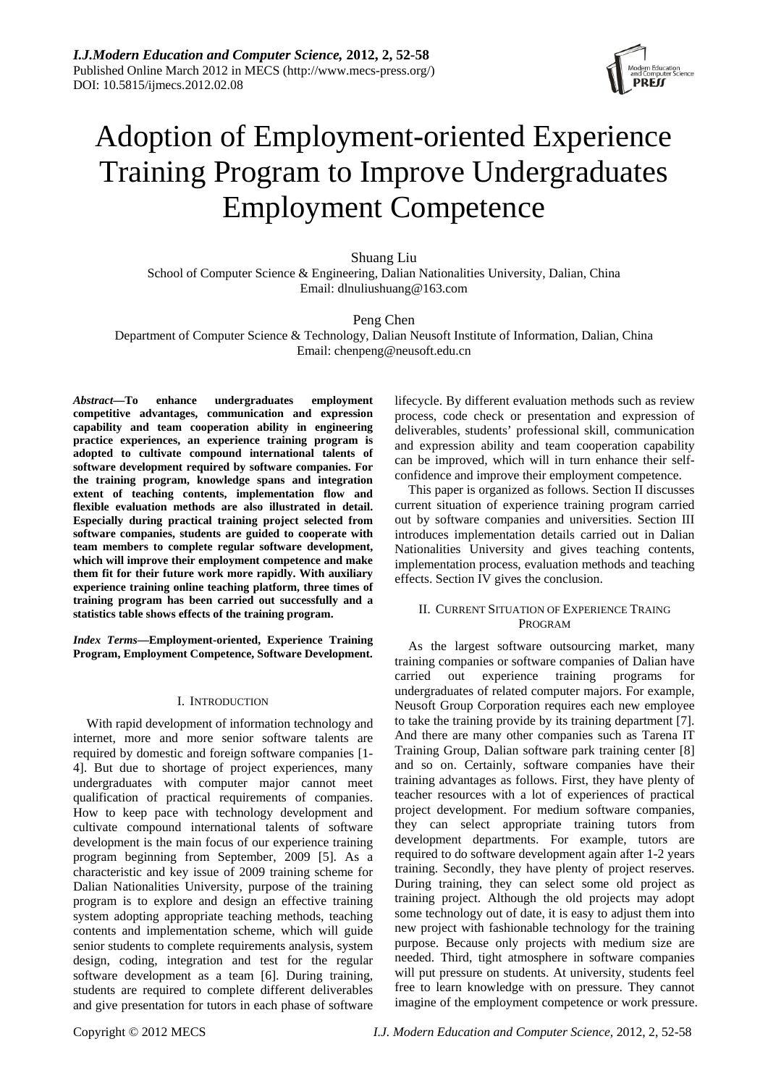

# Adoption of Employment-oriented Experience Training Program to Improve Undergraduates Employment Competence

Shuang Liu School of Computer Science & Engineering, Dalian Nationalities University, Dalian, China Email: dlnuliushuang@163.com

## Peng Chen

Department of Computer Science & Technology, Dalian Neusoft Institute of Information, Dalian, China Email: chenpeng@neusoft.edu.cn

*Abstract***—To enhance undergraduates employment competitive advantages, communication and expression capability and team cooperation ability in engineering practice experiences, an experience training program is adopted to cultivate compound international talents of software development required by software companies. For the training program, knowledge spans and integration extent of teaching contents, implementation flow and flexible evaluation methods are also illustrated in detail. Especially during practical training project selected from software companies, students are guided to cooperate with team members to complete regular software development, which will improve their employment competence and make them fit for their future work more rapidly. With auxiliary experience training online teaching platform, three times of training program has been carried out successfully and a statistics table shows effects of the training program.** 

*Index Terms***—Employment-oriented, Experience Training Program, Employment Competence, Software Development.** 

## I. INTRODUCTION

With rapid development of information technology and internet, more and more senior software talents are required by domestic and foreign software companies [1- 4]. But due to shortage of project experiences, many undergraduates with computer major cannot meet qualification of practical requirements of companies. How to keep pace with technology development and cultivate compound international talents of software development is the main focus of our experience training program beginning from September, 2009 [5]. As a characteristic and key issue of 2009 training scheme for Dalian Nationalities University, purpose of the training program is to explore and design an effective training system adopting appropriate teaching methods, teaching contents and implementation scheme, which will guide senior students to complete requirements analysis, system design, coding, integration and test for the regular software development as a team [6]. During training, students are required to complete different deliverables and give presentation for tutors in each phase of software lifecycle. By different evaluation methods such as review process, code check or presentation and expression of deliverables, students' professional skill, communication and expression ability and team cooperation capability can be improved, which will in turn enhance their selfconfidence and improve their employment competence.

This paper is organized as follows. Section II discusses current situation of experience training program carried out by software companies and universities. Section III introduces implementation details carried out in Dalian Nationalities University and gives teaching contents, implementation process, evaluation methods and teaching effects. Section IV gives the conclusion.

## II. CURRENT SITUATION OF EXPERIENCE TRAING PROGRAM

As the largest software outsourcing market, many training companies or software companies of Dalian have carried out experience training programs for undergraduates of related computer majors. For example, Neusoft Group Corporation requires each new employee to take the training provide by its training department [7]. And there are many other companies such as Tarena IT Training Group, Dalian software park training center [8] and so on. Certainly, software companies have their training advantages as follows. First, they have plenty of teacher resources with a lot of experiences of practical project development. For medium software companies, they can select appropriate training tutors from development departments. For example, tutors are required to do software development again after 1-2 years training. Secondly, they have plenty of project reserves. During training, they can select some old project as training project. Although the old projects may adopt some technology out of date, it is easy to adjust them into new project with fashionable technology for the training purpose. Because only projects with medium size are needed. Third, tight atmosphere in software companies will put pressure on students. At university, students feel free to learn knowledge with on pressure. They cannot imagine of the employment competence or work pressure.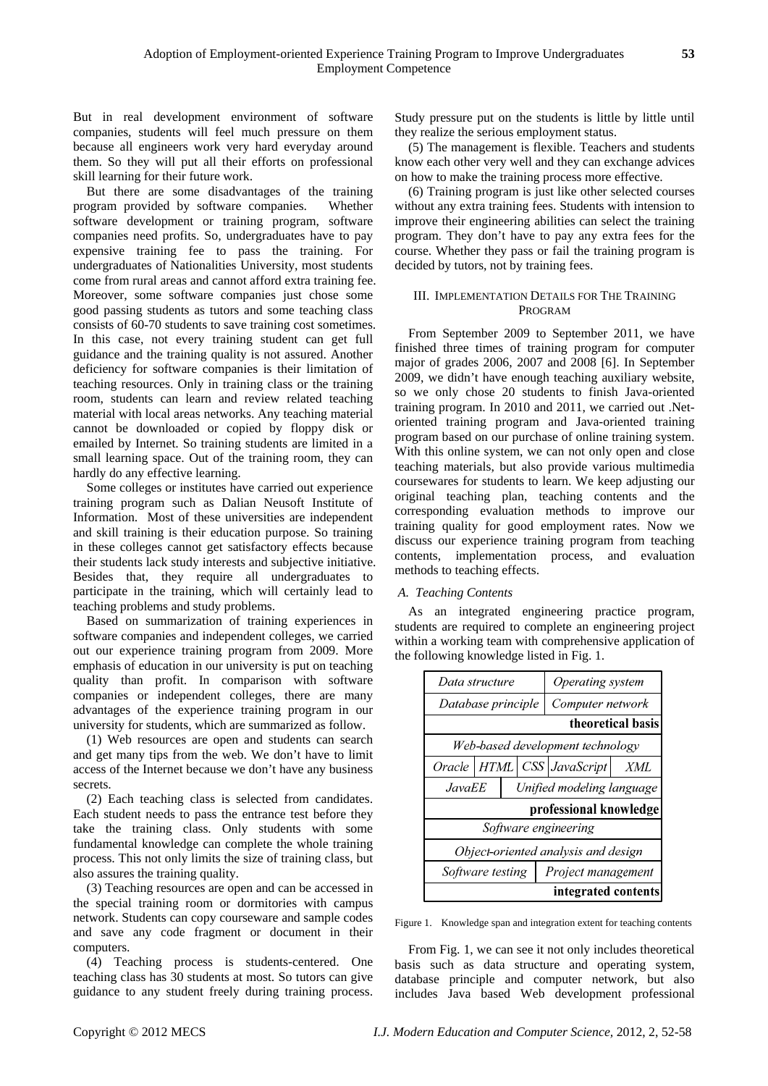But in real development environment of software companies, students will feel much pressure on them because all engineers work very hard everyday around them. So they will put all their efforts on professional skill learning for their future work.

But there are some disadvantages of the training program provided by software companies. Whether software development or training program, software companies need profits. So, undergraduates have to pay expensive training fee to pass the training. For undergraduates of Nationalities University, most students come from rural areas and cannot afford extra training fee. Moreover, some software companies just chose some good passing students as tutors and some teaching class consists of 60-70 students to save training cost sometimes. In this case, not every training student can get full guidance and the training quality is not assured. Another deficiency for software companies is their limitation of teaching resources. Only in training class or the training room, students can learn and review related teaching material with local areas networks. Any teaching material cannot be downloaded or copied by floppy disk or emailed by Internet. So training students are limited in a small learning space. Out of the training room, they can hardly do any effective learning.

Some colleges or institutes have carried out experience training program such as Dalian Neusoft Institute of Information. Most of these universities are independent and skill training is their education purpose. So training in these colleges cannot get satisfactory effects because their students lack study interests and subjective initiative. Besides that, they require all undergraduates to participate in the training, which will certainly lead to teaching problems and study problems.

Based on summarization of training experiences in software companies and independent colleges, we carried out our experience training program from 2009. More emphasis of education in our university is put on teaching quality than profit. In comparison with software companies or independent colleges, there are many advantages of the experience training program in our university for students, which are summarized as follow.

(1) Web resources are open and students can search and get many tips from the web. We don't have to limit access of the Internet because we don't have any business secrets.

(2) Each teaching class is selected from candidates. Each student needs to pass the entrance test before they take the training class. Only students with some fundamental knowledge can complete the whole training process. This not only limits the size of training class, but also assures the training quality.

(3) Teaching resources are open and can be accessed in the special training room or dormitories with campus network. Students can copy courseware and sample codes and save any code fragment or document in their computers.

(4) Teaching process is students-centered. One teaching class has 30 students at most. So tutors can give guidance to any student freely during training process. Study pressure put on the students is little by little until they realize the serious employment status.

(5) The management is flexible. Teachers and students know each other very well and they can exchange advices on how to make the training process more effective.

(6) Training program is just like other selected courses without any extra training fees. Students with intension to improve their engineering abilities can select the training program. They don't have to pay any extra fees for the course. Whether they pass or fail the training program is decided by tutors, not by training fees.

# III. IMPLEMENTATION DETAILS FOR THE TRAINING PROGRAM

From September 2009 to September 2011, we have finished three times of training program for computer major of grades 2006, 2007 and 2008 [6]. In September 2009, we didn't have enough teaching auxiliary website, so we only chose 20 students to finish Java-oriented training program. In 2010 and 2011, we carried out .Netoriented training program and Java-oriented training program based on our purchase of online training system. With this online system, we can not only open and close teaching materials, but also provide various multimedia coursewares for students to learn. We keep adjusting our original teaching plan, teaching contents and the corresponding evaluation methods to improve our training quality for good employment rates. Now we discuss our experience training program from teaching contents, implementation process, and evaluation methods to teaching effects.

# *A. Teaching Contents*

As an integrated engineering practice program, students are required to complete an engineering project within a working team with comprehensive application of the following knowledge listed in Fig. 1.

| Data structure                      |  |                           | Operating system                 |     |  |  |
|-------------------------------------|--|---------------------------|----------------------------------|-----|--|--|
| Database principle                  |  |                           | Computer network                 |     |  |  |
| theoretical basis                   |  |                           |                                  |     |  |  |
| Web-based development technology    |  |                           |                                  |     |  |  |
|                                     |  |                           | Oracle   HTML   CSS   JavaScript | XML |  |  |
| JavaEE                              |  | Unified modeling language |                                  |     |  |  |
| professional knowledge              |  |                           |                                  |     |  |  |
| Software engineering                |  |                           |                                  |     |  |  |
| Object-oriented analysis and design |  |                           |                                  |     |  |  |
| Software testing                    |  |                           | Project management               |     |  |  |
| integrated contents                 |  |                           |                                  |     |  |  |

Figure 1. Knowledge span and integration extent for teaching contents

From Fig. 1, we can see it not only includes theoretical basis such as data structure and operating system, database principle and computer network, but also includes Java based Web development professional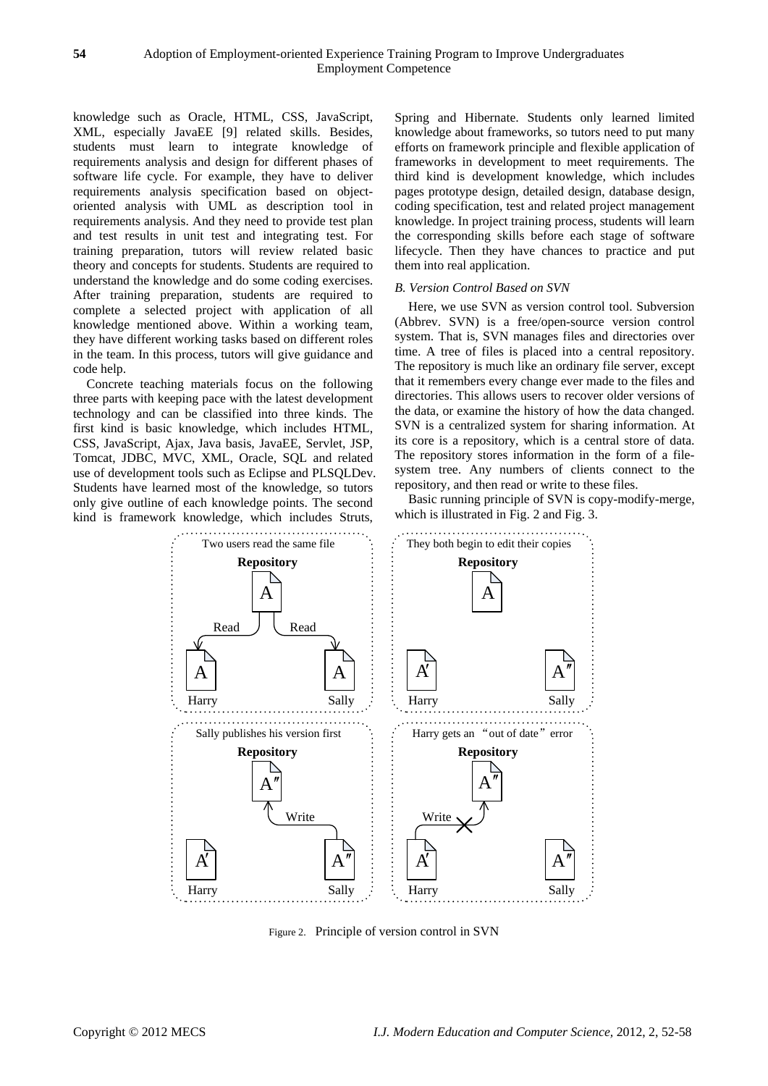knowledge such as Oracle, HTML, CSS, JavaScript, XML, especially JavaEE [9] related skills. Besides, students must learn to integrate knowledge of requirements analysis and design for different phases of software life cycle. For example, they have to deliver requirements analysis specification based on objectoriented analysis with UML as description tool in requirements analysis. And they need to provide test plan and test results in unit test and integrating test. For training preparation, tutors will review related basic theory and concepts for students. Students are required to understand the knowledge and do some coding exercises. After training preparation, students are required to complete a selected project with application of all knowledge mentioned above. Within a working team, they have different working tasks based on different roles in the team. In this process, tutors will give guidance and code help.

Concrete teaching materials focus on the following three parts with keeping pace with the latest development technology and can be classified into three kinds. The first kind is basic knowledge, which includes HTML, CSS, JavaScript, Ajax, Java basis, JavaEE, Servlet, JSP, Tomcat, JDBC, MVC, XML, Oracle, SQL and related use of development tools such as Eclipse and PLSQLDev. Students have learned most of the knowledge, so tutors only give outline of each knowledge points. The second kind is framework knowledge, which includes Struts,

Spring and Hibernate. Students only learned limited knowledge about frameworks, so tutors need to put many efforts on framework principle and flexible application of frameworks in development to meet requirements. The third kind is development knowledge, which includes pages prototype design, detailed design, database design, coding specification, test and related project management knowledge. In project training process, students will learn the corresponding skills before each stage of software lifecycle. Then they have chances to practice and put them into real application.

## *B. Version Control Based on SVN*

Here, we use SVN as version control tool. Subversion (Abbrev. SVN) is a free/open-source version control system. That is, SVN manages files and directories over time. A tree of files is placed into a central repository. The repository is much like an ordinary file server, except that it remembers every change ever made to the files and directories. This allows users to recover older versions of the data, or examine the history of how the data changed. SVN is a centralized system for sharing information. At its core is a repository, which is a central store of data. The repository stores information in the form of a filesystem tree. Any numbers of clients connect to the repository, and then read or write to these files.

Basic running principle of SVN is copy-modify-merge, which is illustrated in Fig. 2 and Fig. 3.



Figure 2. Principle of version control in SVN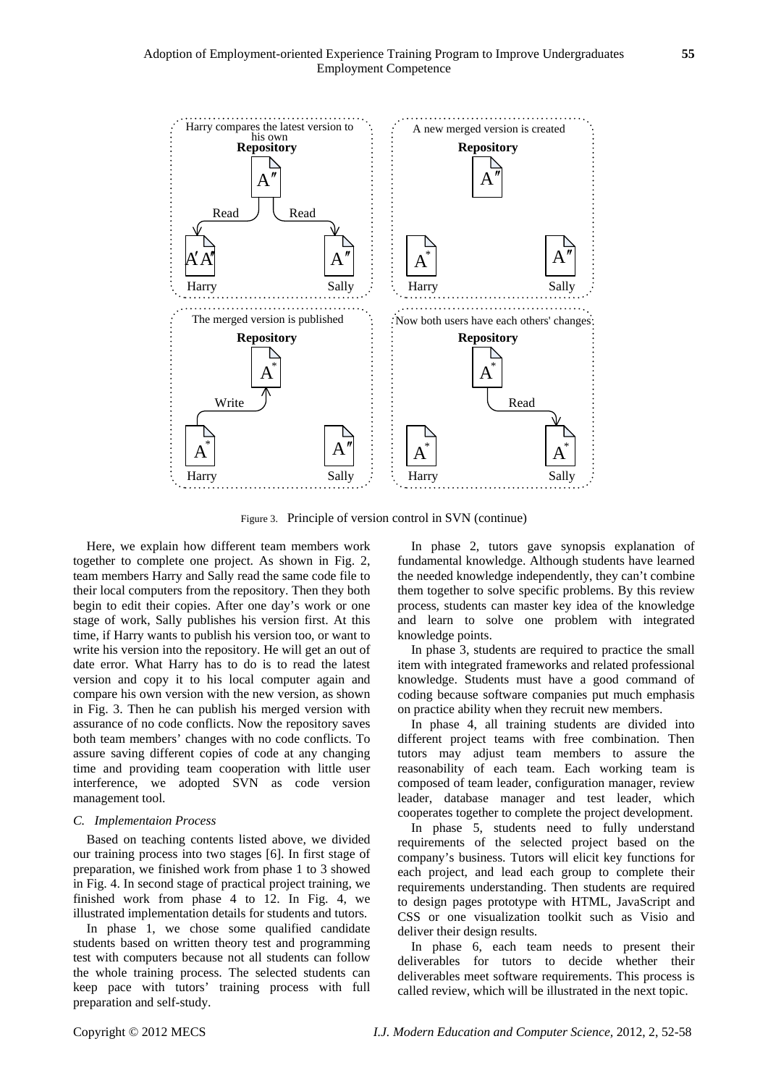

Figure 3. Principle of version control in SVN (continue)

Here, we explain how different team members work together to complete one project. As shown in Fig. 2, team members Harry and Sally read the same code file to their local computers from the repository. Then they both begin to edit their copies. After one day's work or one stage of work, Sally publishes his version first. At this time, if Harry wants to publish his version too, or want to write his version into the repository. He will get an out of date error. What Harry has to do is to read the latest version and copy it to his local computer again and compare his own version with the new version, as shown in Fig. 3. Then he can publish his merged version with assurance of no code conflicts. Now the repository saves both team members' changes with no code conflicts. To assure saving different copies of code at any changing time and providing team cooperation with little user interference, we adopted SVN as code version management tool.

#### *C. Implementaion Process*

Based on teaching contents listed above, we divided our training process into two stages [6]. In first stage of preparation, we finished work from phase 1 to 3 showed in Fig. 4. In second stage of practical project training, we finished work from phase 4 to 12. In Fig. 4, we illustrated implementation details for students and tutors.

In phase 1, we chose some qualified candidate students based on written theory test and programming test with computers because not all students can follow the whole training process. The selected students can keep pace with tutors' training process with full preparation and self-study.

In phase 2, tutors gave synopsis explanation of fundamental knowledge. Although students have learned the needed knowledge independently, they can't combine them together to solve specific problems. By this review process, students can master key idea of the knowledge and learn to solve one problem with integrated knowledge points.

In phase 3, students are required to practice the small item with integrated frameworks and related professional knowledge. Students must have a good command of coding because software companies put much emphasis on practice ability when they recruit new members.

In phase 4, all training students are divided into different project teams with free combination. Then tutors may adjust team members to assure the reasonability of each team. Each working team is composed of team leader, configuration manager, review leader, database manager and test leader, which cooperates together to complete the project development.

In phase 5, students need to fully understand requirements of the selected project based on the company's business. Tutors will elicit key functions for each project, and lead each group to complete their requirements understanding. Then students are required to design pages prototype with HTML, JavaScript and CSS or one visualization toolkit such as Visio and deliver their design results.

In phase 6, each team needs to present their deliverables for tutors to decide whether their deliverables meet software requirements. This process is called review, which will be illustrated in the next topic.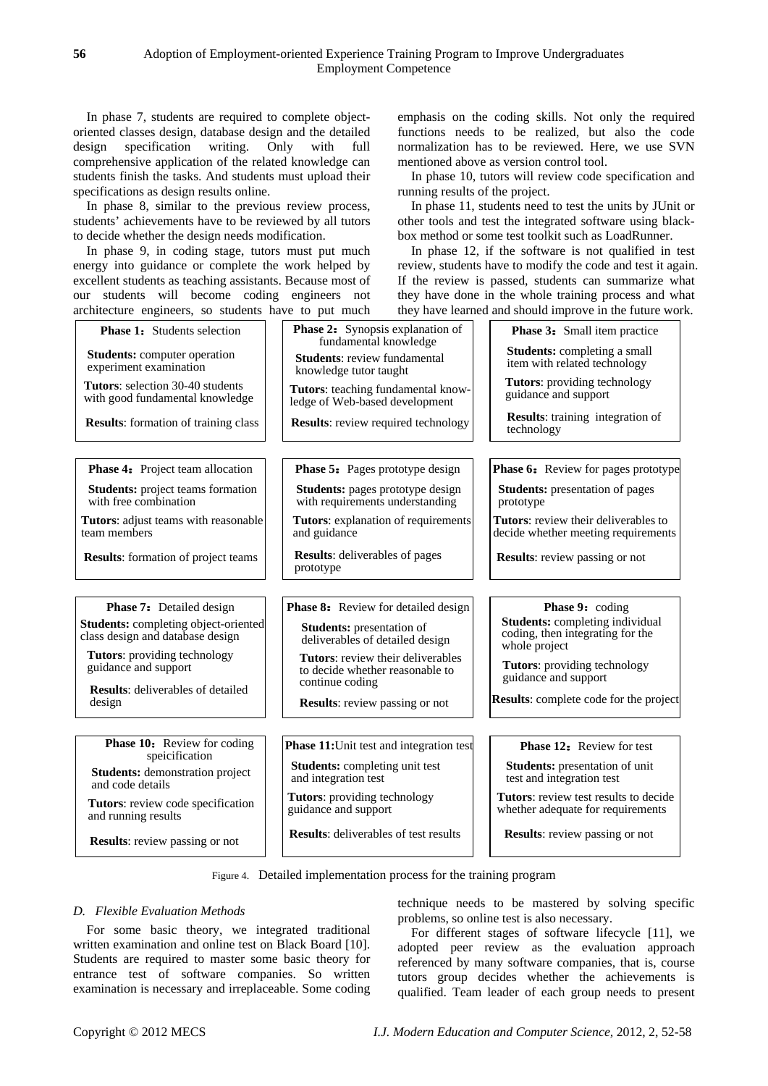In phase 7, students are required to complete objectoriented classes design, database design and the detailed design specification writing. Only with full comprehensive application of the related knowledge can students finish the tasks. And students must upload their specifications as design results online.

In phase 8, similar to the previous review process, students' achievements have to be reviewed by all tutors to decide whether the design needs modification.

In phase 9, in coding stage, tutors must put much energy into guidance or complete the work helped by excellent students as teaching assistants. Because most of our students will become coding engineers not architecture engineers, so students have to put much emphasis on the coding skills. Not only the required functions needs to be realized, but also the code normalization has to be reviewed. Here, we use SVN mentioned above as version control tool.

In phase 10, tutors will review code specification and running results of the project.

In phase 11, students need to test the units by JUnit or other tools and test the integrated software using blackbox method or some test toolkit such as LoadRunner.

In phase 12, if the software is not qualified in test review, students have to modify the code and test it again. If the review is passed, students can summarize what they have done in the whole training process and what they have learned and should improve in the future work.

| architecture engineers, so students have to put much                            |                                                                             | they have learned and should improve in the future work                                     |  |
|---------------------------------------------------------------------------------|-----------------------------------------------------------------------------|---------------------------------------------------------------------------------------------|--|
| <b>Phase 1:</b> Students selection                                              | <b>Phase 2:</b> Synopsis explanation of<br>fundamental knowledge            | <b>Phase 3:</b> Small item practice                                                         |  |
| <b>Students:</b> computer operation<br>experiment examination                   | <b>Students: review fundamental</b><br>knowledge tutor taught               | <b>Students:</b> completing a small<br>item with related technology                         |  |
| <b>Tutors:</b> selection 30-40 students<br>with good fundamental knowledge      | <b>Tutors:</b> teaching fundamental know-<br>ledge of Web-based development | Tutors: providing technology<br>guidance and support                                        |  |
| <b>Results:</b> formation of training class                                     | <b>Results:</b> review required technology                                  | <b>Results:</b> training integration of<br>technology                                       |  |
|                                                                                 |                                                                             |                                                                                             |  |
| <b>Phase 4:</b> Project team allocation                                         | <b>Phase 5:</b> Pages prototype design                                      | <b>Phase 6:</b> Review for pages prototype                                                  |  |
| <b>Students:</b> project teams formation<br>with free combination               | Students: pages prototype design<br>with requirements understanding         | <b>Students:</b> presentation of pages<br>prototype                                         |  |
| Tutors: adjust teams with reasonable<br>team members                            | Tutors: explanation of requirements<br>and guidance                         | Tutors: review their deliverables to<br>decide whether meeting requirements                 |  |
| <b>Results:</b> formation of project teams                                      | <b>Results:</b> deliverables of pages<br>prototype                          | <b>Results:</b> review passing or not                                                       |  |
|                                                                                 |                                                                             |                                                                                             |  |
| <b>Phase 7:</b> Detailed design                                                 | <b>Phase 8:</b> Review for detailed design                                  | Phase 9: coding                                                                             |  |
| <b>Students:</b> completing object-oriented<br>class design and database design | <b>Students:</b> presentation of<br>deliverables of detailed design         | <b>Students:</b> completing individual<br>coding, then integrating for the<br>whole project |  |
| Tutors: providing technology<br>guidance and support                            | Tutors: review their deliverables<br>to decide whether reasonable to        | <b>Tutors:</b> providing technology<br>guidance and support                                 |  |
| <b>Results:</b> deliverables of detailed<br>design                              | continue coding<br><b>Results:</b> review passing or not                    | <b>Results:</b> complete code for the project                                               |  |
|                                                                                 |                                                                             |                                                                                             |  |
| <b>Phase 10:</b> Review for coding<br>speicification                            | <b>Phase 11:</b> Unit test and integration test                             | <b>Phase 12:</b> Review for test                                                            |  |
| <b>Students:</b> demonstration project<br>and code details                      | <b>Students:</b> completing unit test<br>and integration test               | <b>Students:</b> presentation of unit<br>test and integration test                          |  |
| Tutors: review code specification<br>and running results                        | <b>Tutors:</b> providing technology<br>guidance and support                 | <b>Tutors:</b> review test results to decide<br>whether adequate for requirements           |  |
| <b>Results:</b> review passing or not                                           | <b>Results:</b> deliverables of test results                                | <b>Results:</b> review passing or not                                                       |  |

Figure 4. Detailed implementation process for the training program

## *D. Flexible Evaluation Methods*

For some basic theory, we integrated traditional written examination and online test on Black Board [10]. Students are required to master some basic theory for entrance test of software companies. So written examination is necessary and irreplaceable. Some coding

technique needs to be mastered by solving specific problems, so online test is also necessary.

For different stages of software lifecycle [11], we adopted peer review as the evaluation approach referenced by many software companies, that is, course tutors group decides whether the achievements is qualified. Team leader of each group needs to present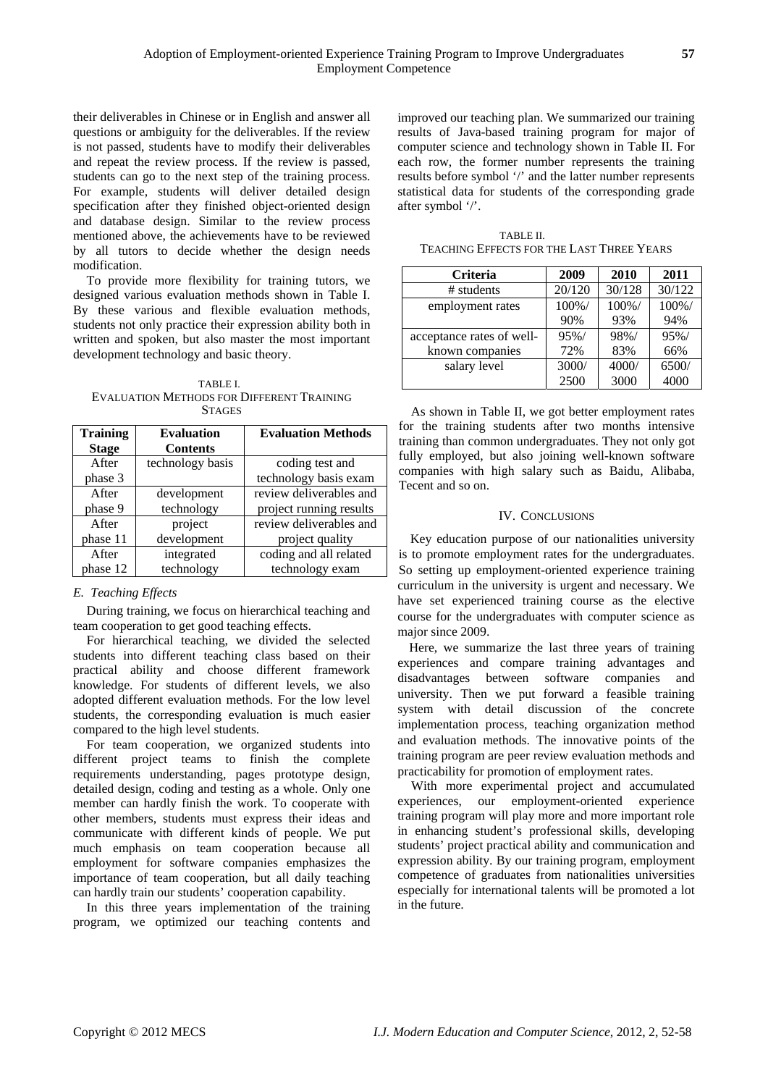their deliverables in Chinese or in English and answer all questions or ambiguity for the deliverables. If the review is not passed, students have to modify their deliverables and repeat the review process. If the review is passed, students can go to the next step of the training process. For example, students will deliver detailed design specification after they finished object-oriented design and database design. Similar to the review process mentioned above, the achievements have to be reviewed by all tutors to decide whether the design needs modification.

To provide more flexibility for training tutors, we designed various evaluation methods shown in Table I. By these various and flexible evaluation methods, students not only practice their expression ability both in written and spoken, but also master the most important development technology and basic theory.

TABLE I. EVALUATION METHODS FOR DIFFERENT TRAINING **STAGES** 

| <b>Training</b> | <b>Evaluation</b> | <b>Evaluation Methods</b> |  |  |
|-----------------|-------------------|---------------------------|--|--|
| <b>Stage</b>    | <b>Contents</b>   |                           |  |  |
| After           | technology basis  | coding test and           |  |  |
| phase 3         |                   | technology basis exam     |  |  |
| After           | development       | review deliverables and   |  |  |
| phase 9         | technology        | project running results   |  |  |
| After           | project           | review deliverables and   |  |  |
| phase 11        | development       | project quality           |  |  |
| After           | integrated        | coding and all related    |  |  |
| phase 12        | technology        | technology exam           |  |  |

# *E. Teaching Effects*

During training, we focus on hierarchical teaching and team cooperation to get good teaching effects.

For hierarchical teaching, we divided the selected students into different teaching class based on their practical ability and choose different framework knowledge. For students of different levels, we also adopted different evaluation methods. For the low level students, the corresponding evaluation is much easier compared to the high level students.

For team cooperation, we organized students into different project teams to finish the complete requirements understanding, pages prototype design, detailed design, coding and testing as a whole. Only one member can hardly finish the work. To cooperate with other members, students must express their ideas and communicate with different kinds of people. We put much emphasis on team cooperation because all employment for software companies emphasizes the importance of team cooperation, but all daily teaching can hardly train our students' cooperation capability.

In this three years implementation of the training program, we optimized our teaching contents and improved our teaching plan. We summarized our training results of Java-based training program for major of computer science and technology shown in Table II. For each row, the former number represents the training results before symbol '/' and the latter number represents statistical data for students of the corresponding grade after symbol '/'.

TABLE II. TEACHING EFFECTS FOR THE LAST THREE YEARS

| Criteria                  | 2009      | 2010   | 2011      |
|---------------------------|-----------|--------|-----------|
| # students                | 20/120    | 30/128 | 30/122    |
| employment rates          | $100\%$ / | 100%/  | $100\%$ / |
|                           | 90%       | 93%    | 94%       |
| acceptance rates of well- | 95%/      | 98%/   | 95%/      |
| known companies           | 72%       | 83%    | 66%       |
| salary level              | 3000/     | 4000/  | 6500/     |
|                           | 2500      | 3000   | 4000      |

As shown in Table II, we got better employment rates for the training students after two months intensive training than common undergraduates. They not only got fully employed, but also joining well-known software companies with high salary such as Baidu, Alibaba, Tecent and so on.

## IV. CONCLUSIONS

Key education purpose of our nationalities university is to promote employment rates for the undergraduates. So setting up employment-oriented experience training curriculum in the university is urgent and necessary. We have set experienced training course as the elective course for the undergraduates with computer science as major since 2009.

Here, we summarize the last three years of training experiences and compare training advantages and disadvantages between software companies and university. Then we put forward a feasible training system with detail discussion of the concrete implementation process, teaching organization method and evaluation methods. The innovative points of the training program are peer review evaluation methods and practicability for promotion of employment rates.

With more experimental project and accumulated experiences, our employment-oriented experience training program will play more and more important role in enhancing student's professional skills, developing students' project practical ability and communication and expression ability. By our training program, employment competence of graduates from nationalities universities especially for international talents will be promoted a lot in the future.